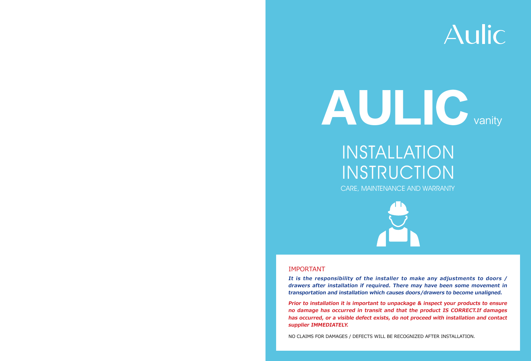

# INSTALLATION INSTRUCTION CARE, MAINTENANCE AND WARRANTY



**It is the responsibility of the installer to make any adjustments to doors / drawers after installation if required. There may have been some movement in transportation and installation which causes doors/drawers to become unaligned.**

**Prior to installation it is important to unpackage & inspect your products to ensure no damage has occurred in transit and that the product IS CORRECT.If damages has occurred, or a visible defect exists, do not proceed with installation and contact supplier IMMEDIATELY.**

NO CLAIMS FOR DAMAGES / DEFECTS WILL BE RECOGNIZED AFTER INSTALLATION.

# Aulic

#### IMPORTANT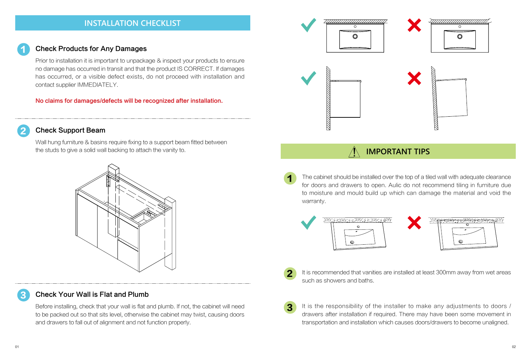# **IMPORTANT TIPS**

1

2

1

 $\boldsymbol{2}$ 

3

3





### Check Products for Any Damages



### Check Your Wall is Flat and Plumb

Prior to installation it is important to unpackage & inspect your products to ensure no damage has occurred in transit and that the product IS CORRECT. If damages has occurred, or a visible defect exists, do not proceed with installation and contact supplier IMMEDIATELY.

No claims for damages/defects will be recognized after installation.

Wall hung furniture & basins require fixing to a support beam fitted between the studs to give a solid wall backing to attach the vanity to.

The cabinet should be installed over the top of a tiled wall with adequate clearance for doors and drawers to open. Aulic do not recommend tiling in furniture due to moisture and mould build up which can damage the material and void the warranty.



It is recommended that vanities are installed at least 300mm away from wet areas such as showers and baths.

It is the responsibility of the installer to make any adjustments to doors / drawers after installation if required. There may have been some movement in transportation and installation which causes doors/drawers to become unaligned.

Before installing, check that your wall is flat and plumb. If not, the cabinet will need to be packed out so that sits level, otherwise the cabinet may twist, causing doors and drawers to fall out of alignment and not function properly.



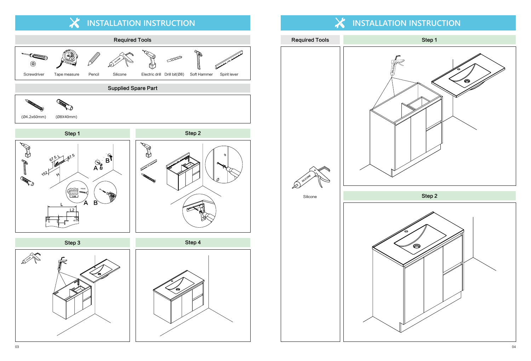Step 2





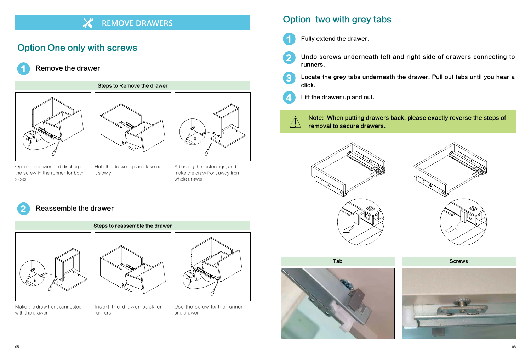1

1

 $\boldsymbol{c}$ 

3



2

## Remove the drawer



Fully extend the drawer.

### Undo screws underneath left and right side of drawers connecting to

runners.

 $\sqrt{N}$ removal to secure drawers.





Locate the grey tabs underneath the drawer. Pull out tabs until you hear a click.

Lift the drawer up and out.

#### Note: When putting drawers back, please exactly reverse the steps of



### Reassemble the drawer

# Option One only with screws







Open the drawer and discharge the screw in the runner for both sides

Make the draw front connected with the drawer



- Hold the drawer up and take out it slowly
- 

Insert the drawer back on runners

Adjusting the fastenings, and make the draw front away from whole drawer



Use the screw fix the runner and drawer





# **REMOVE DRAWERS**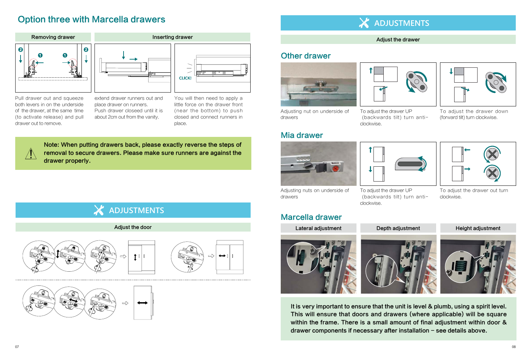# Option three with Marcella drawers

It is very important to ensure that the unit is level & plumb, using a spirit level. This will ensure that doors and drawers (where applicable) will be square within the frame. There is a small amount of final adjustment within door & drawer components if necessary after installation  $-$  see details above.

Note: When putting drawers back, please exactly reverse the steps of removal to secure drawers. Please make sure runners are against the drawer properly.

# **ADJUSTMENTS**

# **ADJUSTMENTS**

#### Adjust the drawer





#### Adjust the door







Adjusting nut on underside of drawers

Adjusting nuts on underside of drawers

To adjust the drawer UP (backwards tilt) turn anticlockwise.

To adjust the drawer UP (backwards tilt) turn anticlockwise.

To adjust the drawer down (forward tilt) turn clockwise.





To adjust the drawer out turn clockwise.







Pull drawer out and squeeze



extend drawer runners out and place drawer on runners. Push drawer closeed until it is about 2cm out from the vanity.



You will then need to apply a little force on the drawer front (near the bottom) to push closed and connect runners in place.



# Other drawer



## Mia drawer





## Marcella drawer

Lateral adjustment Lateral adjustment Depth adjustment Height adjustment